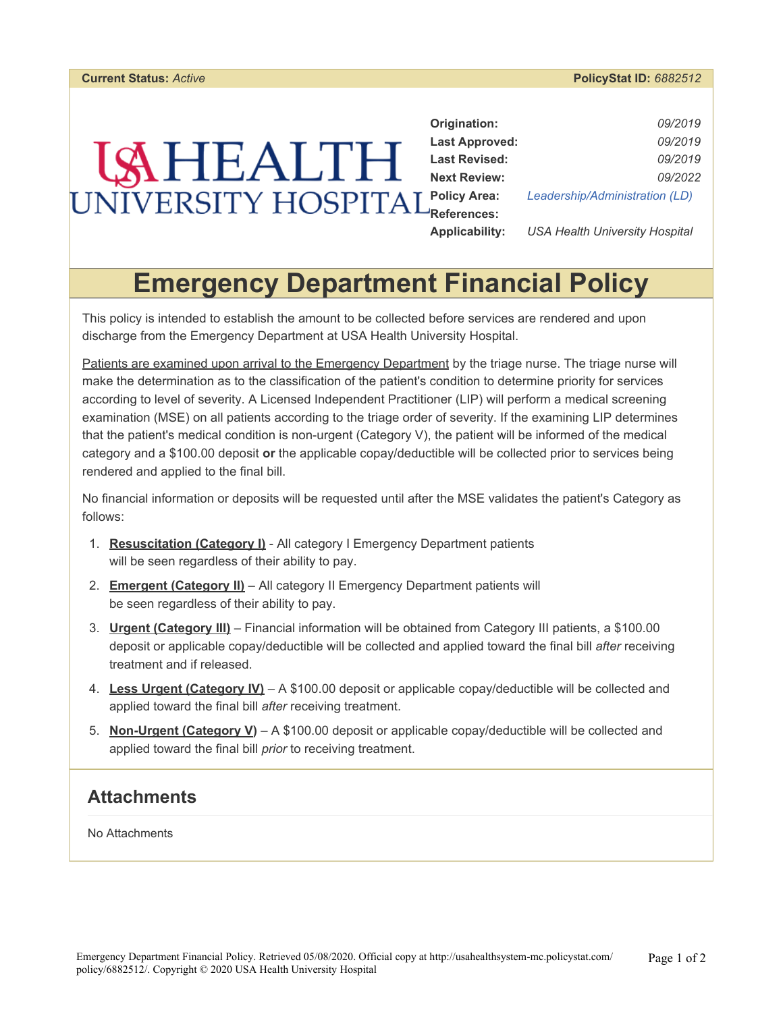#### **Current Status:** *Active* **PolicyStat ID:** *6882512*

| Origination:          | 09/2019                        |  |
|-----------------------|--------------------------------|--|
| <b>Last Approved:</b> | 09/2019                        |  |
| <b>Last Revised:</b>  | 09/2019                        |  |
| <b>Next Review:</b>   | 09/2022                        |  |
| <b>Policy Area:</b>   | Leadership/Administration (LD) |  |
| <b>References:</b>    |                                |  |

**Applicability:** *USA Health University Hospital* 

# **Emergency Department Financial Policy**

This policy is intended to establish the amount to be collected before services are rendered and upon discharge from the Emergency Department at USA Health University Hospital.

Patients are examined upon arrival to the Emergency Department by the triage nurse. The triage nurse will make the determination as to the classification of the patient's condition to determine priority for services according to level of severity. A Licensed Independent Practitioner (LIP) will perform a medical screening examination (MSE) on all patients according to the triage order of severity. If the examining LIP determines that the patient's medical condition is non-urgent (Category V), the patient will be informed of the medical category and a \$100.00 deposit **or** the applicable copay/deductible will be collected prior to services being rendered and applied to the final bill.

No financial information or deposits will be requested until after the MSE validates the patient's Category as follows:

- 1. **Resuscitation (Category I)** All category I Emergency Department patients will be seen regardless of their ability to pay.
- 2. **Emergent (Category II)** All category II Emergency Department patients will be seen regardless of their ability to pay.
- 3. **Urgent (Category III)** Financial information will be obtained from Category III patients, a \$100.00 deposit or applicable copay/deductible will be collected and applied toward the final bill *after* receiving treatment and if released.
- 4. **Less Urgent (Category IV)** A \$100.00 deposit or applicable copay/deductible will be collected and applied toward the final bill *after* receiving treatment.
- 5. **Non-Urgent (Category V)** A \$100.00 deposit or applicable copay/deductible will be collected and applied toward the final bill *prior* to receiving treatment.

#### **Attachments**

No Attachments